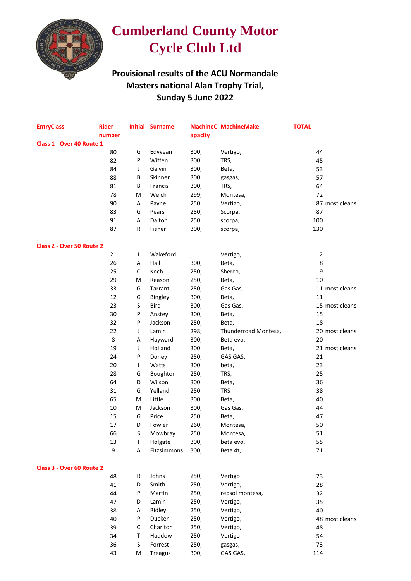

## **Cumberland County Motor Cycle Club Ltd**

## **Provisional results of the ACU Normandale Masters national Alan Trophy Trial, Sunday 5 June 2022**

| <b>EntryClass</b>         | <b>Rider</b> |              | <b>Initial Surname</b> |               | <b>MachineC MachineMake</b> | <b>TOTAL</b>   |  |  |  |  |  |
|---------------------------|--------------|--------------|------------------------|---------------|-----------------------------|----------------|--|--|--|--|--|
|                           | number       |              |                        | apacity       |                             |                |  |  |  |  |  |
| Class 1 - Over 40 Route 1 |              |              |                        |               |                             |                |  |  |  |  |  |
|                           | 80           | G            | Edyvean                | 300,          | Vertigo,                    | 44             |  |  |  |  |  |
|                           | 82           | P            | Wiffen                 | 300,          | TRS,                        | 45             |  |  |  |  |  |
|                           | 84           | J            | Galvin                 | 300,          | Beta,                       | 53             |  |  |  |  |  |
|                           | 88           | В            | Skinner                | 300,          | gasgas,                     | 57             |  |  |  |  |  |
|                           | 81           | В            | Francis                | 300,          | TRS,                        | 64             |  |  |  |  |  |
|                           | 78           | M            | Welch                  | 299,          | Montesa,                    | 72             |  |  |  |  |  |
|                           | 90           | A            | Payne                  | 250,          | Vertigo,                    | 87 most cleans |  |  |  |  |  |
|                           | 83           | G            | Pears                  | 250,          | Scorpa,                     | 87             |  |  |  |  |  |
|                           | 91           | Α            | Dalton                 | 250,          | scorpa,                     | 100            |  |  |  |  |  |
|                           | 87           | R            | Fisher                 | 300,          | scorpa,                     | 130            |  |  |  |  |  |
| Class 2 - Over 50 Route 2 |              |              |                        |               |                             |                |  |  |  |  |  |
|                           | 21           | $\mathsf{I}$ | Wakeford               | $\pmb{\cdot}$ | Vertigo,                    | $\overline{2}$ |  |  |  |  |  |
|                           | 26           | Α            | Hall                   | 300,          | Beta,                       | 8              |  |  |  |  |  |
|                           | 25           | C            | Koch                   | 250,          | Sherco,                     | 9              |  |  |  |  |  |
|                           | 29           | M            | Reason                 | 250,          | Beta,                       | $10\,$         |  |  |  |  |  |
|                           | 33           | G            | Tarrant                | 250,          | Gas Gas,                    | 11 most cleans |  |  |  |  |  |
|                           | 12           | G            | Bingley                | 300,          | Beta,                       | 11             |  |  |  |  |  |
|                           | 23           | S            | Bird                   | 300,          | Gas Gas,                    | 15 most cleans |  |  |  |  |  |
|                           | 30           | P            | Anstey                 | 300,          | Beta,                       | 15             |  |  |  |  |  |
|                           | 32           | P            | Jackson                | 250,          | Beta,                       | 18             |  |  |  |  |  |
|                           | 22           | J            | Lamin                  | 298,          | Thunderroad Montesa,        | 20 most cleans |  |  |  |  |  |
|                           | 8            | Α            | Hayward                | 300,          | Beta evo,                   | 20             |  |  |  |  |  |
|                           | 19           | J            | Holland                | 300,          | Beta,                       | 21 most cleans |  |  |  |  |  |
|                           | 24           | P            | Doney                  | 250,          | GAS GAS,                    | 21             |  |  |  |  |  |
|                           | 20           | $\mathsf{I}$ | Watts                  | 300,          | beta,                       | 23             |  |  |  |  |  |
|                           | 28           | G            | Boughton               | 250,          | TRS,                        | 25             |  |  |  |  |  |
|                           | 64           | D            | Wilson                 | 300,          | Beta,                       | 36             |  |  |  |  |  |
|                           | 31           | G            | Yelland                | 250           | <b>TRS</b>                  | 38             |  |  |  |  |  |
|                           | 65           | M            | Little                 | 300,          | Beta,                       | 40             |  |  |  |  |  |
|                           | 10           | M            | Jackson                | 300,          | Gas Gas,                    | 44             |  |  |  |  |  |
|                           | 15           | G            | Price                  | 250,          | Beta,                       | 47             |  |  |  |  |  |
|                           | 17           | D            | Fowler                 | 260,          | Montesa,                    | 50             |  |  |  |  |  |
|                           | 66           | S            | Mowbray                | 250           | Montesa,                    | 51             |  |  |  |  |  |
|                           | 13           | $\mathbf{I}$ | Holgate                | 300,          | beta evo,                   | 55             |  |  |  |  |  |
|                           | 9            | Α            | Fitzsimmons            | 300,          | Beta 4t,                    | $71\,$         |  |  |  |  |  |
| Class 3 - Over 60 Route 2 |              |              |                        |               |                             |                |  |  |  |  |  |
|                           | 48           | R            | Johns                  | 250,          | Vertigo                     | 23             |  |  |  |  |  |
|                           | 41           | D            | Smith                  | 250,          | Vertigo,                    | 28             |  |  |  |  |  |
|                           | 44           | P            | Martin                 | 250,          | repsol montesa,             | 32             |  |  |  |  |  |
|                           | 47           | D            | Lamin                  | 250,          | Vertigo,                    | 35             |  |  |  |  |  |
|                           | 38           | Α            | Ridley                 | 250,          | Vertigo,                    | 40             |  |  |  |  |  |
|                           | 40           | P            | Ducker                 | 250,          | Vertigo,                    | 48 most cleans |  |  |  |  |  |
|                           | 39           | $\mathsf C$  | Charlton               | 250,          | Vertigo,                    | 48             |  |  |  |  |  |
|                           | 34           | T            | Haddow                 | 250           | Vertigo                     | 54             |  |  |  |  |  |
|                           | 36           | S            | Forrest                | 250,          | gasgas,                     | 73             |  |  |  |  |  |
|                           | 43           | M            | <b>Treagus</b>         | 300,          | GAS GAS,                    | 114            |  |  |  |  |  |